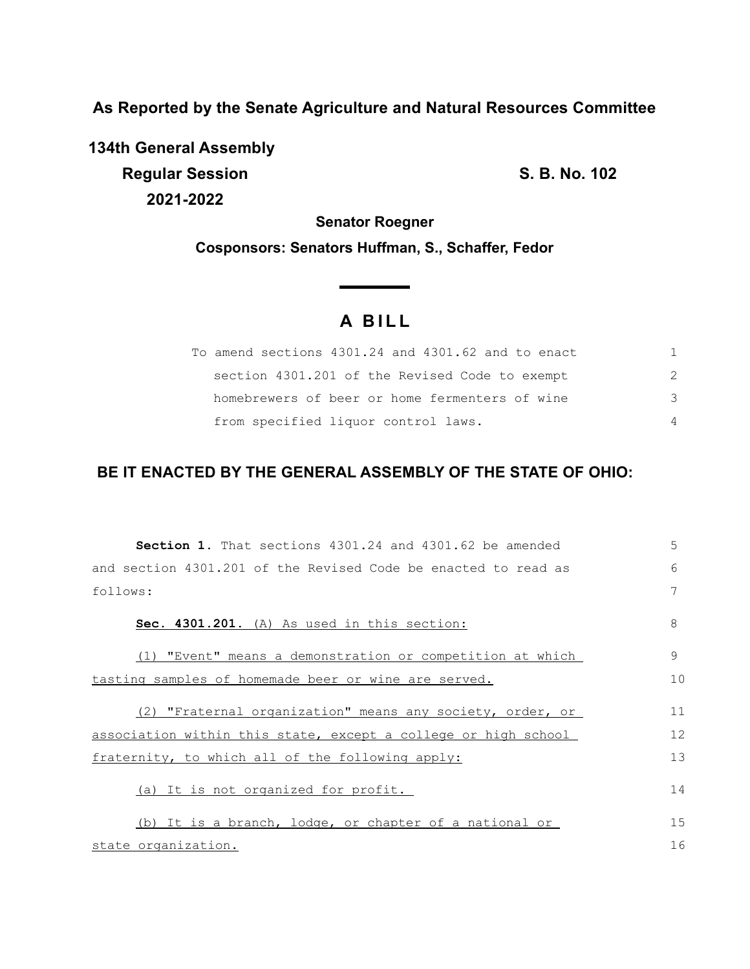**As Reported by the Senate Agriculture and Natural Resources Committee**

**134th General Assembly Regular Session S. B. No. 102 2021-2022**

**Senator Roegner Cosponsors: Senators Huffman, S., Schaffer, Fedor**

# **A B I L L**

| To amend sections 4301.24 and 4301.62 and to enact |    |
|----------------------------------------------------|----|
| section 4301.201 of the Revised Code to exempt     |    |
| homebrewers of beer or home fermenters of wine     | -२ |
| from specified liquor control laws.                |    |

# **BE IT ENACTED BY THE GENERAL ASSEMBLY OF THE STATE OF OHIO:**

| <b>Section 1.</b> That sections 4301.24 and 4301.62 be amended | 5  |
|----------------------------------------------------------------|----|
| and section 4301.201 of the Revised Code be enacted to read as | 6  |
| follows:                                                       |    |
| Sec. 4301.201. (A) As used in this section:                    | 8  |
| (1) "Event" means a demonstration or competition at which      | 9  |
| tasting samples of homemade beer or wine are served.           | 10 |
| (2) "Fraternal organization" means any society, order, or      | 11 |
| association within this state, except a college or high school | 12 |
| fraternity, to which all of the following apply:               | 13 |
| (a) It is not organized for profit.                            | 14 |
| (b) It is a branch, lodge, or chapter of a national or         | 15 |
| state organization.                                            | 16 |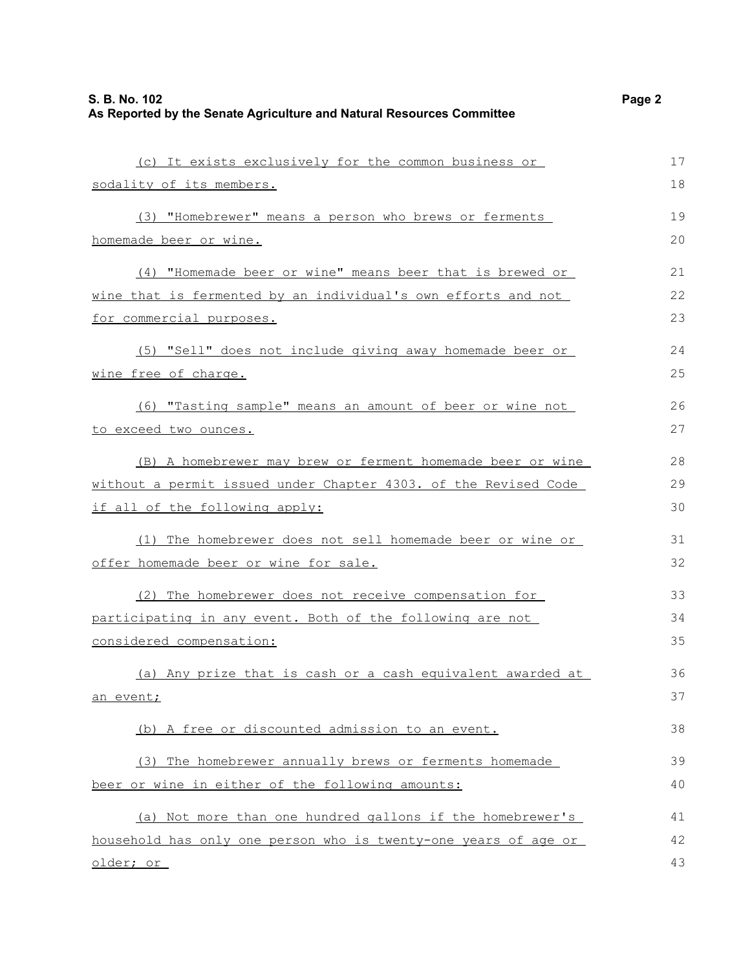| (c) It exists exclusively for the common business or            | 17 |
|-----------------------------------------------------------------|----|
| sodality of its members.                                        | 18 |
| (3) "Homebrewer" means a person who brews or ferments           | 19 |
| homemade beer or wine.                                          | 20 |
| (4) "Homemade beer or wine" means beer that is brewed or        | 21 |
| wine that is fermented by an individual's own efforts and not   | 22 |
| for commercial purposes.                                        | 23 |
| (5) "Sell" does not include giving away homemade beer or        | 24 |
| wine free of charge.                                            | 25 |
| (6) "Tasting sample" means an amount of beer or wine not        | 26 |
| to exceed two ounces.                                           | 27 |
| (B) A homebrewer may brew or ferment homemade beer or wine      | 28 |
| without a permit issued under Chapter 4303. of the Revised Code | 29 |
| if all of the following apply:                                  | 30 |
| (1) The homebrewer does not sell homemade beer or wine or       | 31 |
| offer homemade beer or wine for sale.                           | 32 |
| (2) The homebrewer does not receive compensation for            | 33 |
| participating in any event. Both of the following are not       | 34 |
| considered compensation:                                        | 35 |
| (a) Any prize that is cash or a cash equivalent awarded at      | 36 |
| <u>an event;</u>                                                | 37 |
| (b) A free or discounted admission to an event.                 | 38 |
| (3) The homebrewer annually brews or ferments homemade          | 39 |
| beer or wine in either of the following amounts:                | 40 |
| (a) Not more than one hundred gallons if the homebrewer's       | 41 |
| household has only one person who is twenty-one years of age or | 42 |
| <u>older; or </u>                                               | 43 |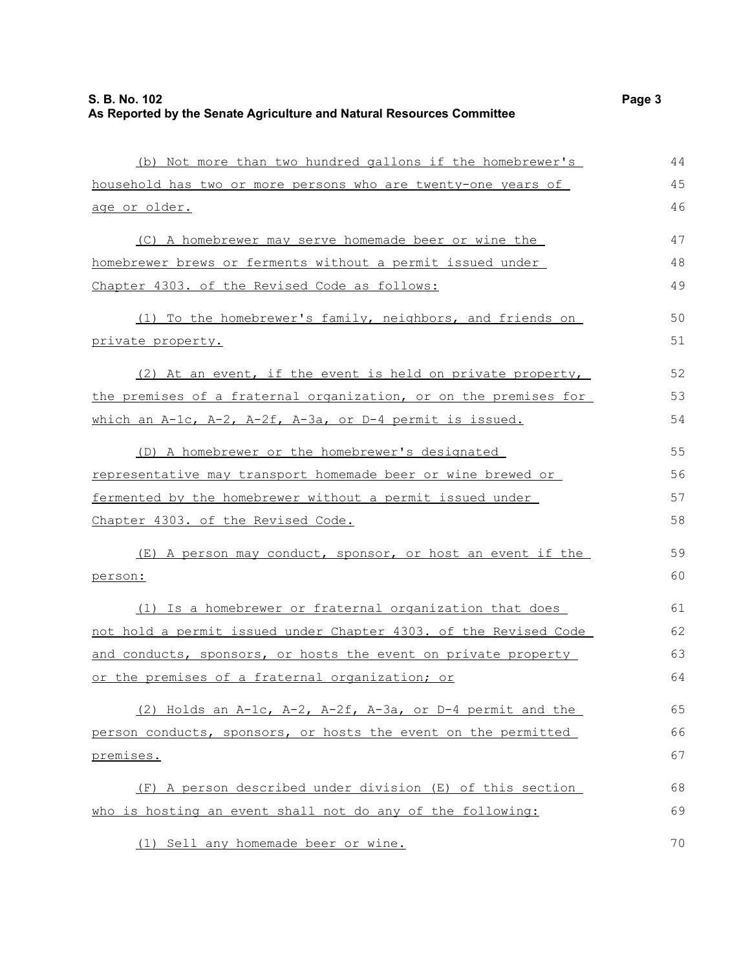| (b) Not more than two hundred gallons if the homebrewer's        | 44 |
|------------------------------------------------------------------|----|
| household has two or more persons who are twenty-one years of    | 45 |
| age or older.                                                    | 46 |
| (C) A homebrewer may serve homemade beer or wine the             | 47 |
| homebrewer brews or ferments without a permit issued under       | 48 |
| Chapter 4303. of the Revised Code as follows:                    | 49 |
| (1) To the homebrewer's family, neighbors, and friends on        | 50 |
| private property.                                                | 51 |
| (2) At an event, if the event is held on private property,       | 52 |
| the premises of a fraternal organization, or on the premises for | 53 |
| which an A-1c, A-2, A-2f, A-3a, or D-4 permit is issued.         | 54 |
| (D) A homebrewer or the homebrewer's designated                  | 55 |
| representative may transport homemade beer or wine brewed or     | 56 |
| fermented by the homebrewer without a permit issued under        | 57 |
| Chapter 4303. of the Revised Code.                               | 58 |
| (E) A person may conduct, sponsor, or host an event if the       | 59 |
| person:                                                          | 60 |
| (1) Is a homebrewer or fraternal organization that does          | 61 |
| not hold a permit issued under Chapter 4303. of the Revised Code | 62 |
| and conducts, sponsors, or hosts the event on private property   | 63 |
| or the premises of a fraternal organization; or                  | 64 |
| (2) Holds an A-1c, A-2, A-2f, A-3a, or D-4 permit and the        | 65 |
| person conducts, sponsors, or hosts the event on the permitted   | 66 |
| <u>premises.</u>                                                 | 67 |
| (F) A person described under division (E) of this section        | 68 |
| who is hosting an event shall not do any of the following:       | 69 |
| (1) Sell any homemade beer or wine.                              | 70 |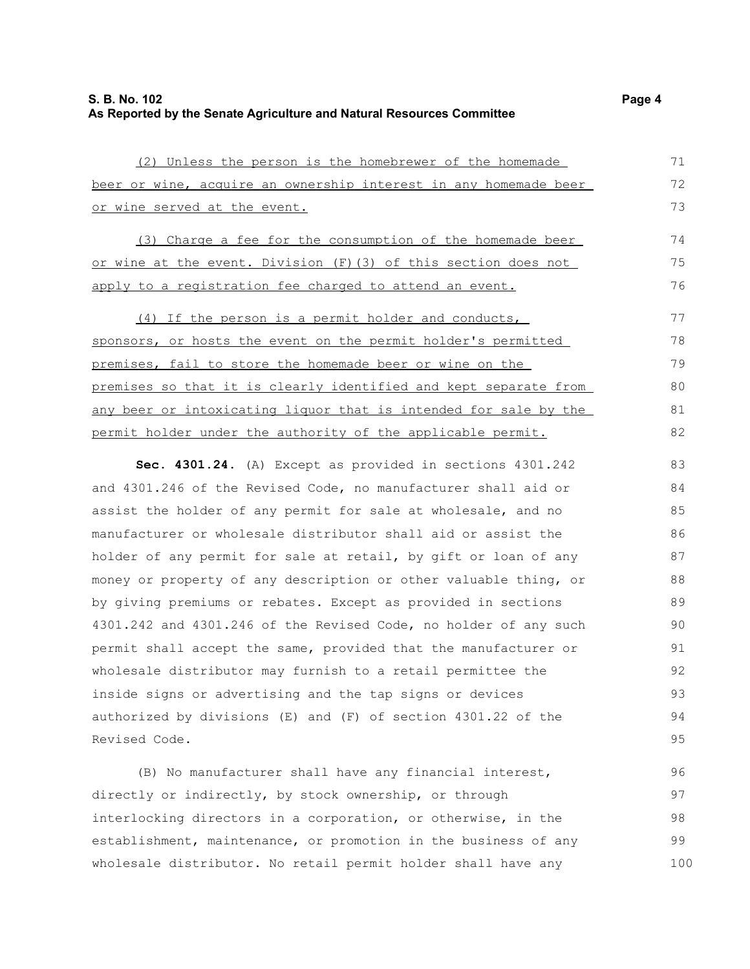| (2) Unless the person is the homebrewer of the homemade          | 71 |
|------------------------------------------------------------------|----|
| beer or wine, acquire an ownership interest in any homemade beer | 72 |
| or wine served at the event.                                     | 73 |
| (3) Charge a fee for the consumption of the homemade beer        | 74 |
| or wine at the event. Division (F) (3) of this section does not  | 75 |
| apply to a registration fee charged to attend an event.          | 76 |
| (4) If the person is a permit holder and conducts,               | 77 |
| sponsors, or hosts the event on the permit holder's permitted    | 78 |
| premises, fail to store the homemade beer or wine on the         | 79 |
| premises so that it is clearly identified and kept separate from | 80 |
| any beer or intoxicating liquor that is intended for sale by the | 81 |
| permit holder under the authority of the applicable permit.      | 82 |
| Sec. 4301.24. (A) Except as provided in sections 4301.242        | 83 |
| and 4301.246 of the Revised Code, no manufacturer shall aid or   | 84 |
| assist the holder of any permit for sale at wholesale, and no    | 85 |

the holder of any permit for sale at wholesale, and no manufacturer or wholesale distributor shall aid or assist the holder of any permit for sale at retail, by gift or loan of any money or property of any description or other valuable thing, or by giving premiums or rebates. Except as provided in sections 4301.242 and 4301.246 of the Revised Code, no holder of any such permit shall accept the same, provided that the manufacturer or wholesale distributor may furnish to a retail permittee the inside signs or advertising and the tap signs or devices authorized by divisions (E) and (F) of section 4301.22 of the Revised Code. 85 86 87 88 89 90 91 92 93 94 95

(B) No manufacturer shall have any financial interest, directly or indirectly, by stock ownership, or through interlocking directors in a corporation, or otherwise, in the establishment, maintenance, or promotion in the business of any wholesale distributor. No retail permit holder shall have any 96 97 98 99 100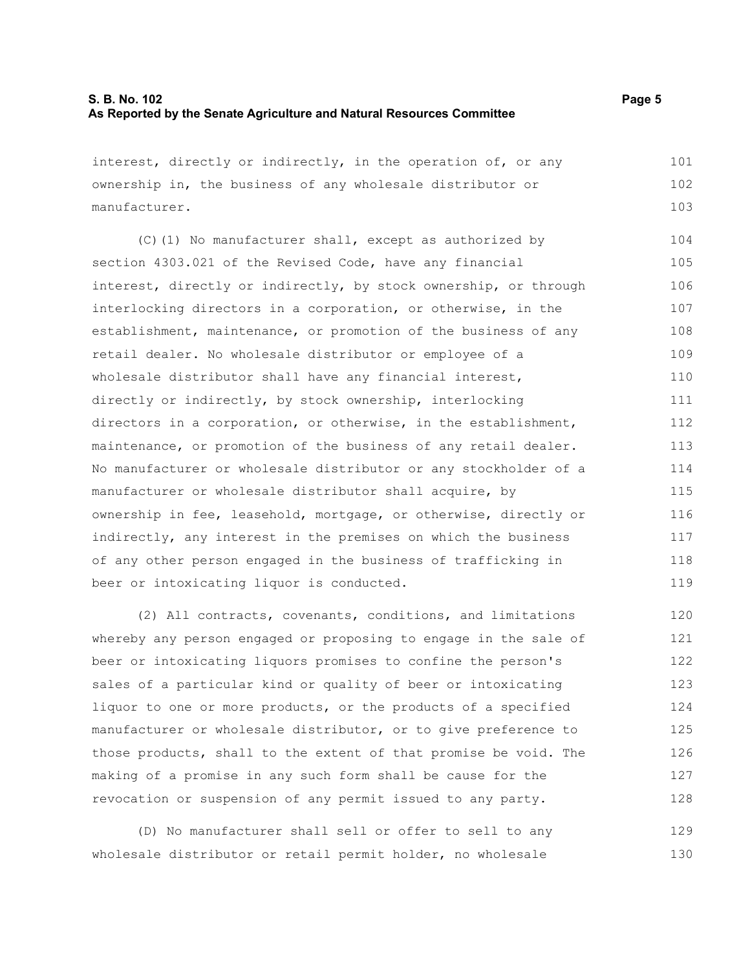interest, directly or indirectly, in the operation of, or any ownership in, the business of any wholesale distributor or manufacturer.

(C)(1) No manufacturer shall, except as authorized by section 4303.021 of the Revised Code, have any financial interest, directly or indirectly, by stock ownership, or through interlocking directors in a corporation, or otherwise, in the establishment, maintenance, or promotion of the business of any retail dealer. No wholesale distributor or employee of a wholesale distributor shall have any financial interest, directly or indirectly, by stock ownership, interlocking directors in a corporation, or otherwise, in the establishment, maintenance, or promotion of the business of any retail dealer. No manufacturer or wholesale distributor or any stockholder of a manufacturer or wholesale distributor shall acquire, by ownership in fee, leasehold, mortgage, or otherwise, directly or indirectly, any interest in the premises on which the business of any other person engaged in the business of trafficking in beer or intoxicating liquor is conducted. 104 105 106 107 108 109 110 111 112 113 114 115 116 117 118 119

(2) All contracts, covenants, conditions, and limitations whereby any person engaged or proposing to engage in the sale of beer or intoxicating liquors promises to confine the person's sales of a particular kind or quality of beer or intoxicating liquor to one or more products, or the products of a specified manufacturer or wholesale distributor, or to give preference to those products, shall to the extent of that promise be void. The making of a promise in any such form shall be cause for the revocation or suspension of any permit issued to any party. 120 121 122 123 124 125 126 127 128

(D) No manufacturer shall sell or offer to sell to any wholesale distributor or retail permit holder, no wholesale 129 130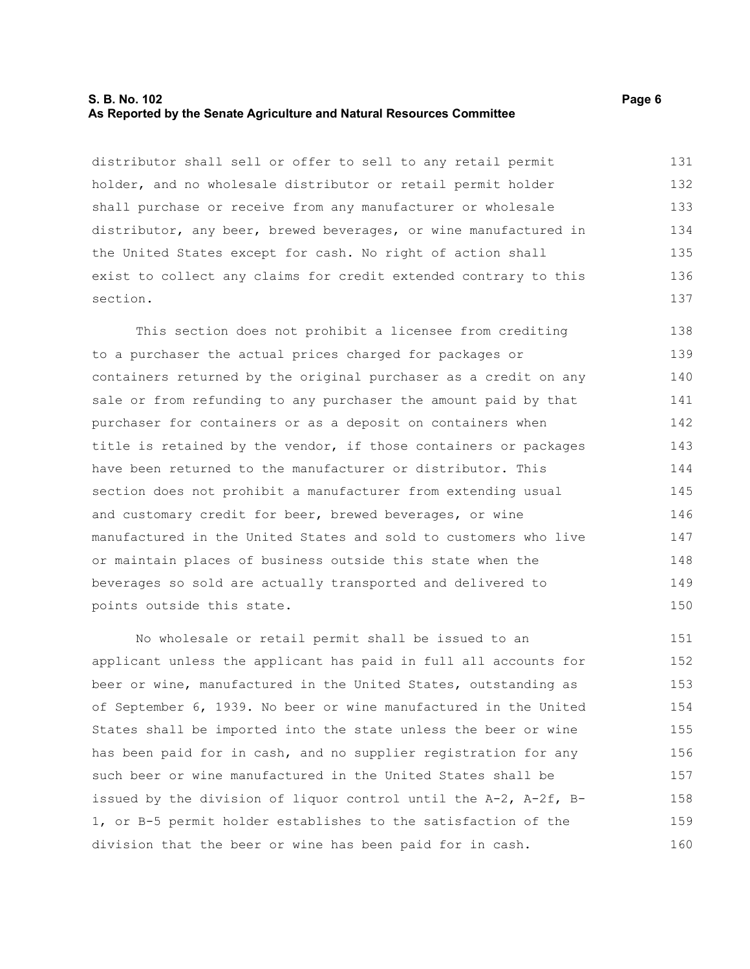## **S. B. No. 102** Page 6 **As Reported by the Senate Agriculture and Natural Resources Committee**

distributor shall sell or offer to sell to any retail permit holder, and no wholesale distributor or retail permit holder shall purchase or receive from any manufacturer or wholesale distributor, any beer, brewed beverages, or wine manufactured in the United States except for cash. No right of action shall exist to collect any claims for credit extended contrary to this section. 131 132 133 134 135 136 137

This section does not prohibit a licensee from crediting to a purchaser the actual prices charged for packages or containers returned by the original purchaser as a credit on any sale or from refunding to any purchaser the amount paid by that purchaser for containers or as a deposit on containers when title is retained by the vendor, if those containers or packages have been returned to the manufacturer or distributor. This section does not prohibit a manufacturer from extending usual and customary credit for beer, brewed beverages, or wine manufactured in the United States and sold to customers who live or maintain places of business outside this state when the beverages so sold are actually transported and delivered to points outside this state. 138 139 140 141 142 143 144 145 146 147 148 149 150

No wholesale or retail permit shall be issued to an applicant unless the applicant has paid in full all accounts for beer or wine, manufactured in the United States, outstanding as of September 6, 1939. No beer or wine manufactured in the United States shall be imported into the state unless the beer or wine has been paid for in cash, and no supplier registration for any such beer or wine manufactured in the United States shall be issued by the division of liquor control until the A-2, A-2f, B-1, or B-5 permit holder establishes to the satisfaction of the division that the beer or wine has been paid for in cash. 151 152 153 154 155 156 157 158 159 160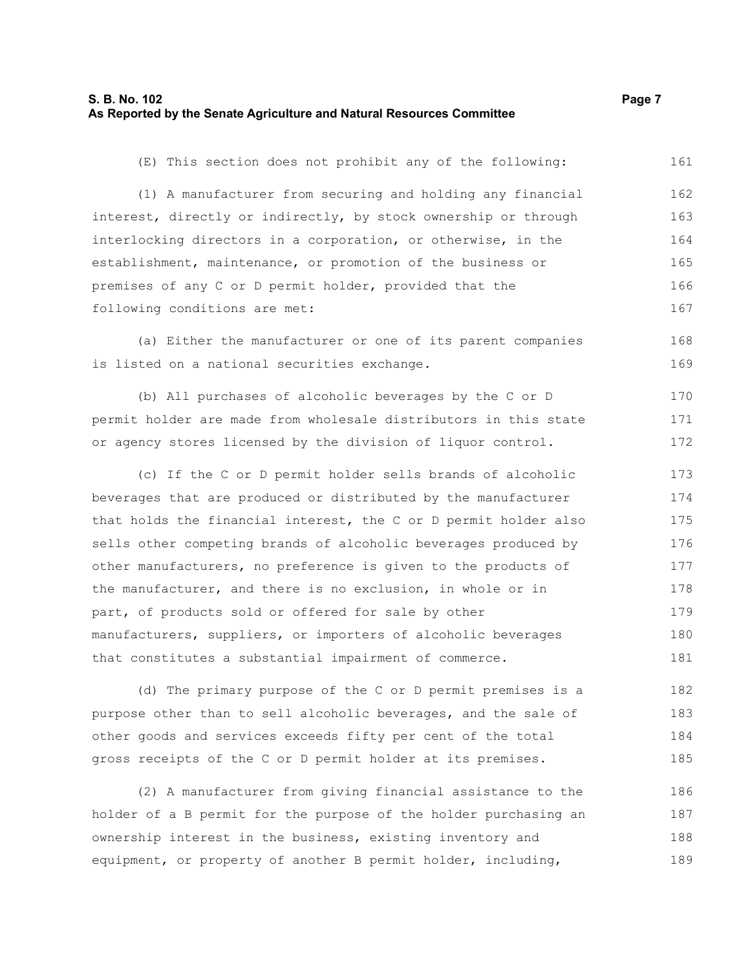(E) This section does not prohibit any of the following: (1) A manufacturer from securing and holding any financial interest, directly or indirectly, by stock ownership or through interlocking directors in a corporation, or otherwise, in the establishment, maintenance, or promotion of the business or premises of any C or D permit holder, provided that the following conditions are met: (a) Either the manufacturer or one of its parent companies 161 162 163 164 165 166 167 168

is listed on a national securities exchange. 169

(b) All purchases of alcoholic beverages by the C or D permit holder are made from wholesale distributors in this state or agency stores licensed by the division of liquor control. 170 171 172

(c) If the C or D permit holder sells brands of alcoholic beverages that are produced or distributed by the manufacturer that holds the financial interest, the C or D permit holder also sells other competing brands of alcoholic beverages produced by other manufacturers, no preference is given to the products of the manufacturer, and there is no exclusion, in whole or in part, of products sold or offered for sale by other manufacturers, suppliers, or importers of alcoholic beverages that constitutes a substantial impairment of commerce. 173 174 175 176 177 178 179 180 181

(d) The primary purpose of the C or D permit premises is a purpose other than to sell alcoholic beverages, and the sale of other goods and services exceeds fifty per cent of the total gross receipts of the C or D permit holder at its premises. 182 183 184 185

(2) A manufacturer from giving financial assistance to the holder of a B permit for the purpose of the holder purchasing an ownership interest in the business, existing inventory and equipment, or property of another B permit holder, including, 186 187 188 189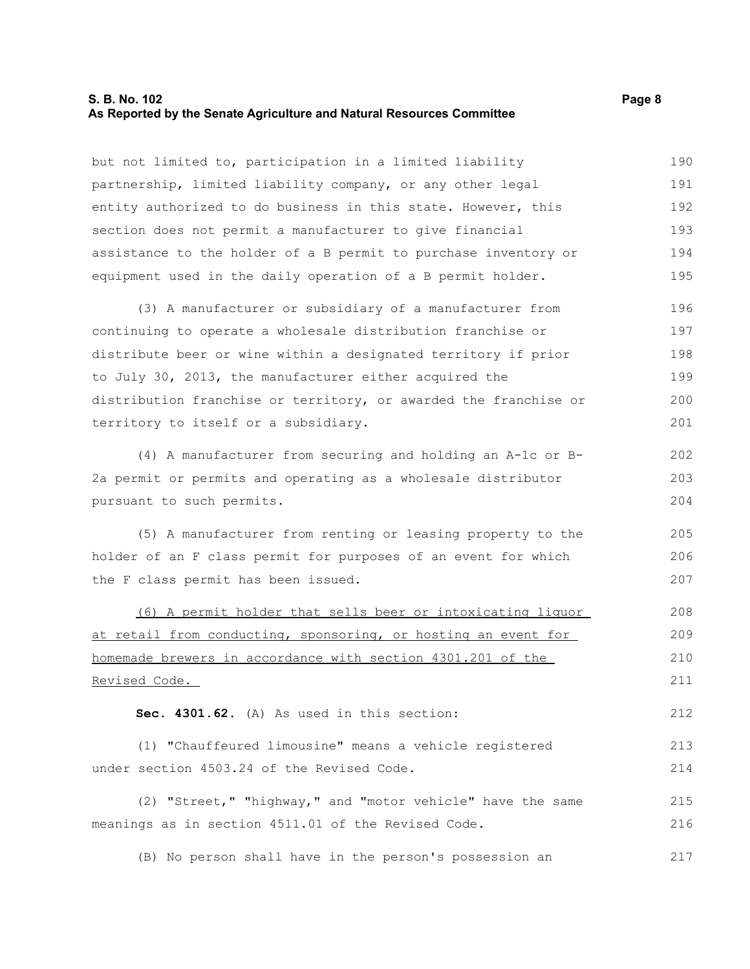### **S. B. No. 102** Page 8 **As Reported by the Senate Agriculture and Natural Resources Committee**

but not limited to, participation in a limited liability partnership, limited liability company, or any other legal entity authorized to do business in this state. However, this section does not permit a manufacturer to give financial assistance to the holder of a B permit to purchase inventory or equipment used in the daily operation of a B permit holder. 190 191 192 193 194 195

(3) A manufacturer or subsidiary of a manufacturer from continuing to operate a wholesale distribution franchise or distribute beer or wine within a designated territory if prior to July 30, 2013, the manufacturer either acquired the distribution franchise or territory, or awarded the franchise or territory to itself or a subsidiary. 196 197 198 199 200 201

(4) A manufacturer from securing and holding an A-1c or B-2a permit or permits and operating as a wholesale distributor pursuant to such permits. 202 203 204

(5) A manufacturer from renting or leasing property to the holder of an F class permit for purposes of an event for which the F class permit has been issued.

(6) A permit holder that sells beer or intoxicating liquor at retail from conducting, sponsoring, or hosting an event for homemade brewers in accordance with section 4301.201 of the Revised Code. 208 209 210 211

**Sec. 4301.62.** (A) As used in this section:

(1) "Chauffeured limousine" means a vehicle registered under section 4503.24 of the Revised Code. 213 214

(2) "Street," "highway," and "motor vehicle" have the same meanings as in section 4511.01 of the Revised Code. 215 216

(B) No person shall have in the person's possession an 217

205 206 207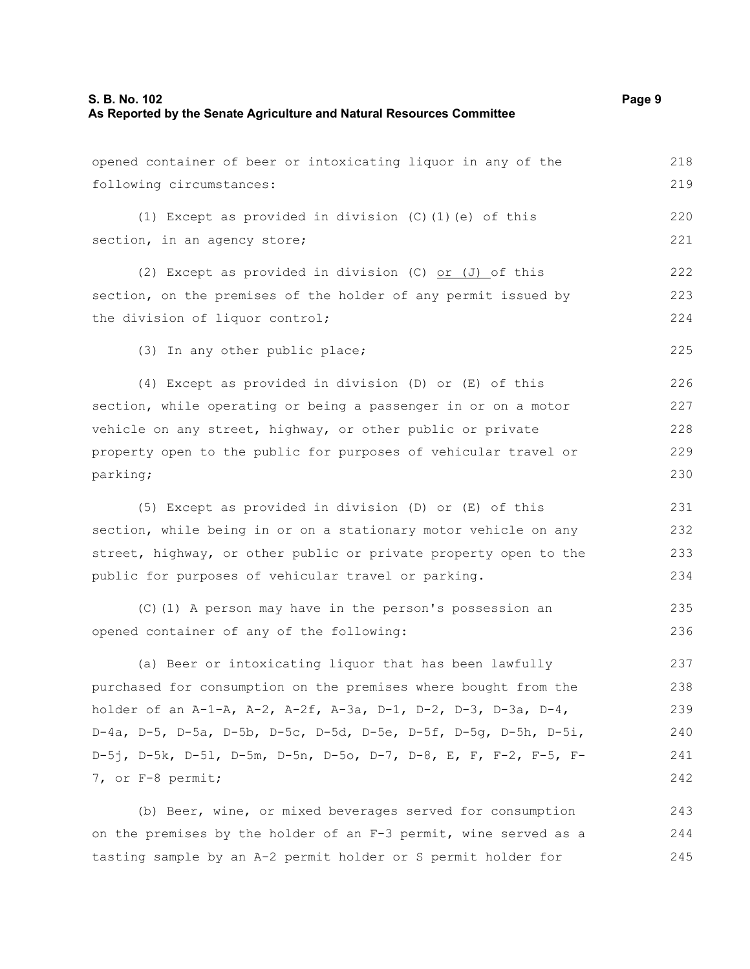opened container of beer or intoxicating liquor in any of the following circumstances: (1) Except as provided in division (C)(1)(e) of this section, in an agency store; (2) Except as provided in division (C)  $or$  (J) of this section, on the premises of the holder of any permit issued by the division of liquor control; (3) In any other public place; (4) Except as provided in division (D) or (E) of this section, while operating or being a passenger in or on a motor vehicle on any street, highway, or other public or private property open to the public for purposes of vehicular travel or parking; (5) Except as provided in division (D) or (E) of this section, while being in or on a stationary motor vehicle on any street, highway, or other public or private property open to the public for purposes of vehicular travel or parking. (C)(1) A person may have in the person's possession an opened container of any of the following: (a) Beer or intoxicating liquor that has been lawfully purchased for consumption on the premises where bought from the holder of an A-1-A, A-2, A-2f, A-3a, D-1, D-2, D-3, D-3a, D-4, D-4a, D-5, D-5a, D-5b, D-5c, D-5d, D-5e, D-5f, D-5g, D-5h, D-5i, D-5j, D-5k, D-5l, D-5m, D-5n, D-5o, D-7, D-8, E, F, F-2, F-5, F-7, or F-8 permit; (b) Beer, wine, or mixed beverages served for consumption on the premises by the holder of an F-3 permit, wine served as a 218 219 220 221 222 223 224 225 226 227 228 229 230 231 232 233 234 235 236 237 238 239 240 241 242 243 244

tasting sample by an A-2 permit holder or S permit holder for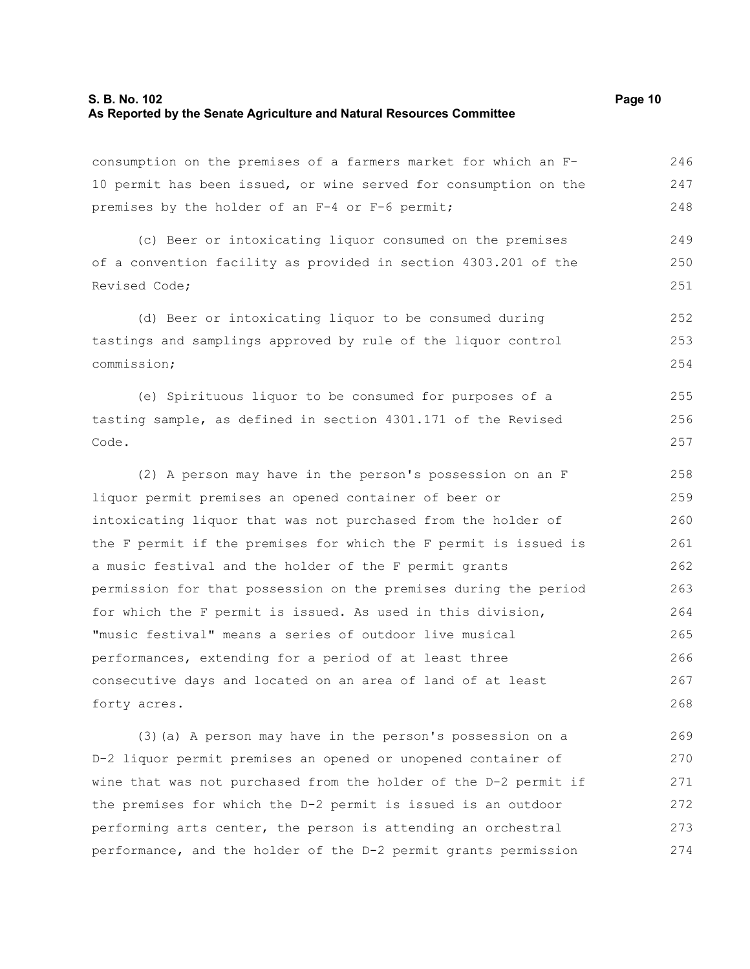#### **S. B. No. 102 Page 10 As Reported by the Senate Agriculture and Natural Resources Committee**

consumption on the premises of a farmers market for which an F-10 permit has been issued, or wine served for consumption on the premises by the holder of an F-4 or F-6 permit; 246 247 248

(c) Beer or intoxicating liquor consumed on the premises of a convention facility as provided in section 4303.201 of the Revised Code; 249 250 251

(d) Beer or intoxicating liquor to be consumed during tastings and samplings approved by rule of the liquor control commission; 252 253 254

(e) Spirituous liquor to be consumed for purposes of a tasting sample, as defined in section 4301.171 of the Revised Code. 255 256 257

(2) A person may have in the person's possession on an F liquor permit premises an opened container of beer or intoxicating liquor that was not purchased from the holder of the F permit if the premises for which the F permit is issued is a music festival and the holder of the F permit grants permission for that possession on the premises during the period for which the F permit is issued. As used in this division, "music festival" means a series of outdoor live musical performances, extending for a period of at least three consecutive days and located on an area of land of at least forty acres. 258 259 260 261 262 263 264 265 266 267 268

(3)(a) A person may have in the person's possession on a D-2 liquor permit premises an opened or unopened container of wine that was not purchased from the holder of the D-2 permit if the premises for which the D-2 permit is issued is an outdoor performing arts center, the person is attending an orchestral performance, and the holder of the D-2 permit grants permission 269 270 271 272 273 274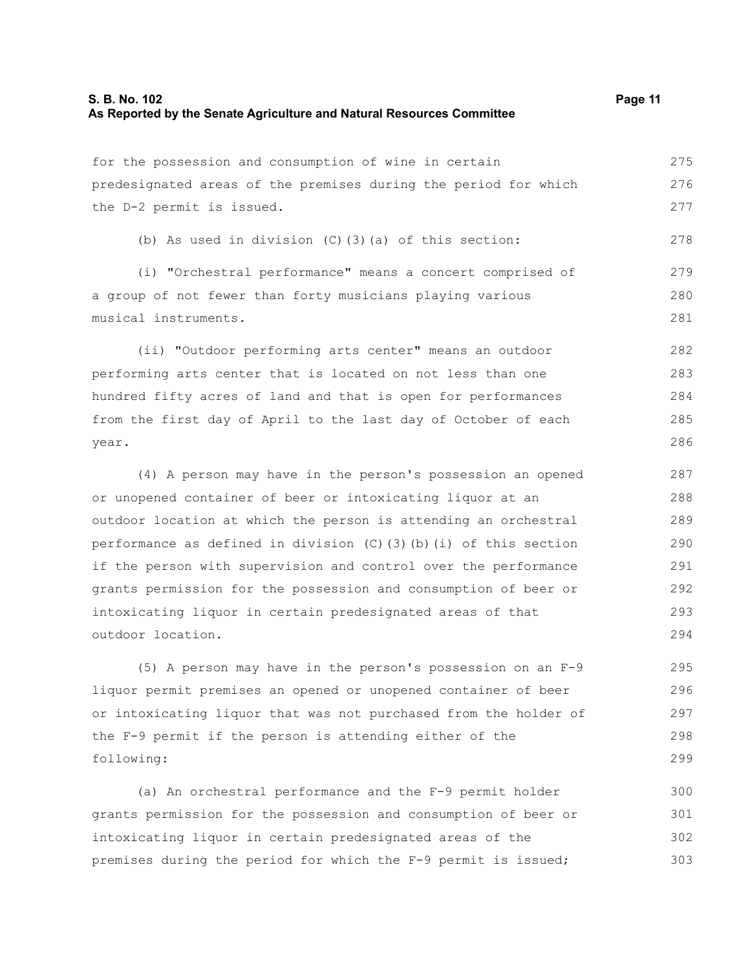| for the possession and consumption of wine in certain                      | 275 |
|----------------------------------------------------------------------------|-----|
| predesignated areas of the premises during the period for which            | 276 |
| the D-2 permit is issued.                                                  | 277 |
| (b) As used in division $(C)$ $(3)$ $(a)$ of this section:                 | 278 |
| (i) "Orchestral performance" means a concert comprised of                  | 279 |
| a group of not fewer than forty musicians playing various                  | 280 |
| musical instruments.                                                       | 281 |
| (ii) "Outdoor performing arts center" means an outdoor                     | 282 |
| performing arts center that is located on not less than one                | 283 |
| hundred fifty acres of land and that is open for performances              | 284 |
| from the first day of April to the last day of October of each             | 285 |
| year.                                                                      | 286 |
| (4) A person may have in the person's possession an opened                 | 287 |
| or unopened container of beer or intoxicating liquor at an                 | 288 |
| outdoor location at which the person is attending an orchestral            | 289 |
| performance as defined in division $(C)$ $(3)$ $(b)$ $(i)$ of this section | 290 |
| if the person with supervision and control over the performance            | 291 |
| grants permission for the possession and consumption of beer or            | 292 |
| intoxicating liquor in certain predesignated areas of that                 | 293 |
| outdoor location.                                                          | 294 |

(5) A person may have in the person's possession on an F-9 liquor permit premises an opened or unopened container of beer or intoxicating liquor that was not purchased from the holder of the F-9 permit if the person is attending either of the following: 295 296 297 298 299

(a) An orchestral performance and the F-9 permit holder grants permission for the possession and consumption of beer or intoxicating liquor in certain predesignated areas of the premises during the period for which the F-9 permit is issued; 300 301 302 303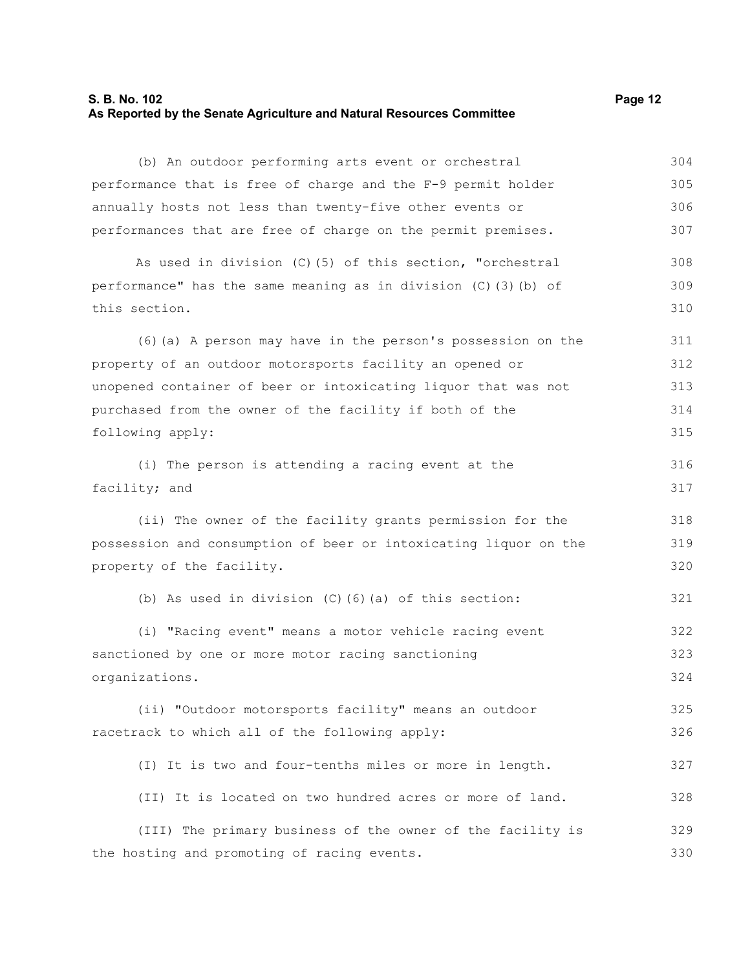### **S. B. No. 102 Page 12 As Reported by the Senate Agriculture and Natural Resources Committee**

(b) An outdoor performing arts event or orchestral performance that is free of charge and the F-9 permit holder annually hosts not less than twenty-five other events or performances that are free of charge on the permit premises. 304 305 306 307

As used in division (C)(5) of this section, "orchestral performance" has the same meaning as in division (C)(3)(b) of this section. 308 309 310

(6)(a) A person may have in the person's possession on the property of an outdoor motorsports facility an opened or unopened container of beer or intoxicating liquor that was not purchased from the owner of the facility if both of the following apply: 311 312 313 314 315

(i) The person is attending a racing event at the facility; and 316 317

(ii) The owner of the facility grants permission for the possession and consumption of beer or intoxicating liquor on the property of the facility. 318 319 320

(b) As used in division  $(C)$  (6)(a) of this section:

(i) "Racing event" means a motor vehicle racing event sanctioned by one or more motor racing sanctioning organizations. 322 323 324

(ii) "Outdoor motorsports facility" means an outdoor racetrack to which all of the following apply: 325 326

(I) It is two and four-tenths miles or more in length. 327

(II) It is located on two hundred acres or more of land. 328

(III) The primary business of the owner of the facility is the hosting and promoting of racing events. 329 330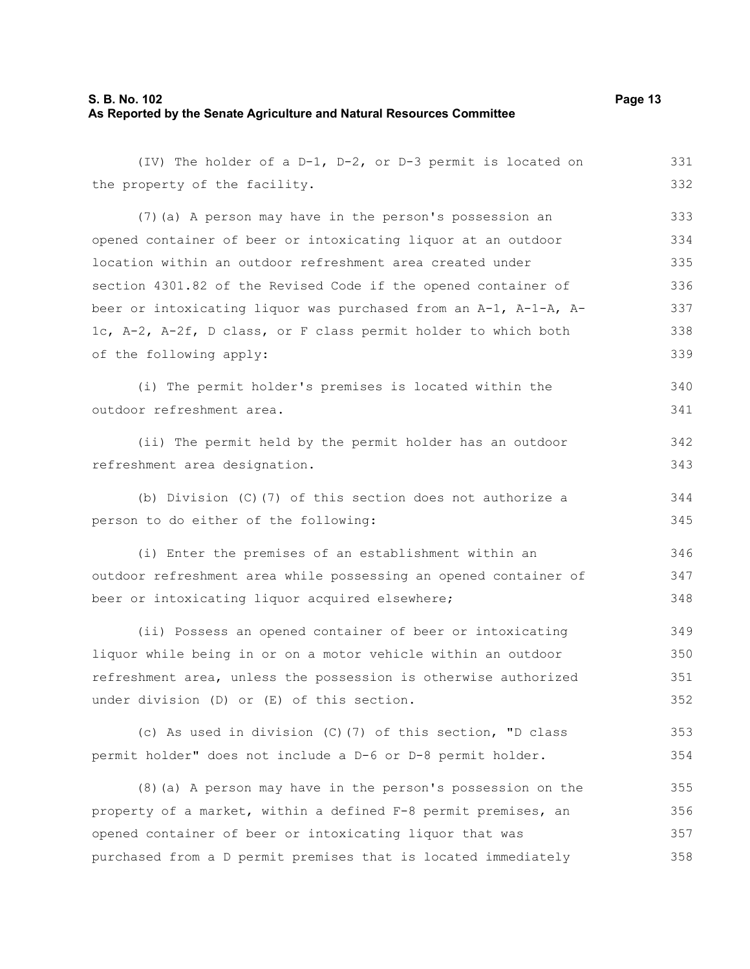# **S. B. No. 102 Page 13 As Reported by the Senate Agriculture and Natural Resources Committee**

(IV) The holder of a D-1, D-2, or D-3 permit is located on the property of the facility. (7)(a) A person may have in the person's possession an opened container of beer or intoxicating liquor at an outdoor location within an outdoor refreshment area created under section 4301.82 of the Revised Code if the opened container of beer or intoxicating liquor was purchased from an A-1, A-1-A, A-1c, A-2, A-2f, D class, or F class permit holder to which both of the following apply: (i) The permit holder's premises is located within the outdoor refreshment area. (ii) The permit held by the permit holder has an outdoor refreshment area designation. (b) Division (C)(7) of this section does not authorize a person to do either of the following: (i) Enter the premises of an establishment within an outdoor refreshment area while possessing an opened container of beer or intoxicating liquor acquired elsewhere; (ii) Possess an opened container of beer or intoxicating liquor while being in or on a motor vehicle within an outdoor refreshment area, unless the possession is otherwise authorized under division (D) or (E) of this section. (c) As used in division (C)(7) of this section, "D class permit holder" does not include a D-6 or D-8 permit holder. (8)(a) A person may have in the person's possession on the property of a market, within a defined F-8 permit premises, an opened container of beer or intoxicating liquor that was 331 332 333 334 335 336 337 338 339 340 341 342 343 344 345 346 347 348 349 350 351 352 353 354 355 356 357

purchased from a D permit premises that is located immediately 358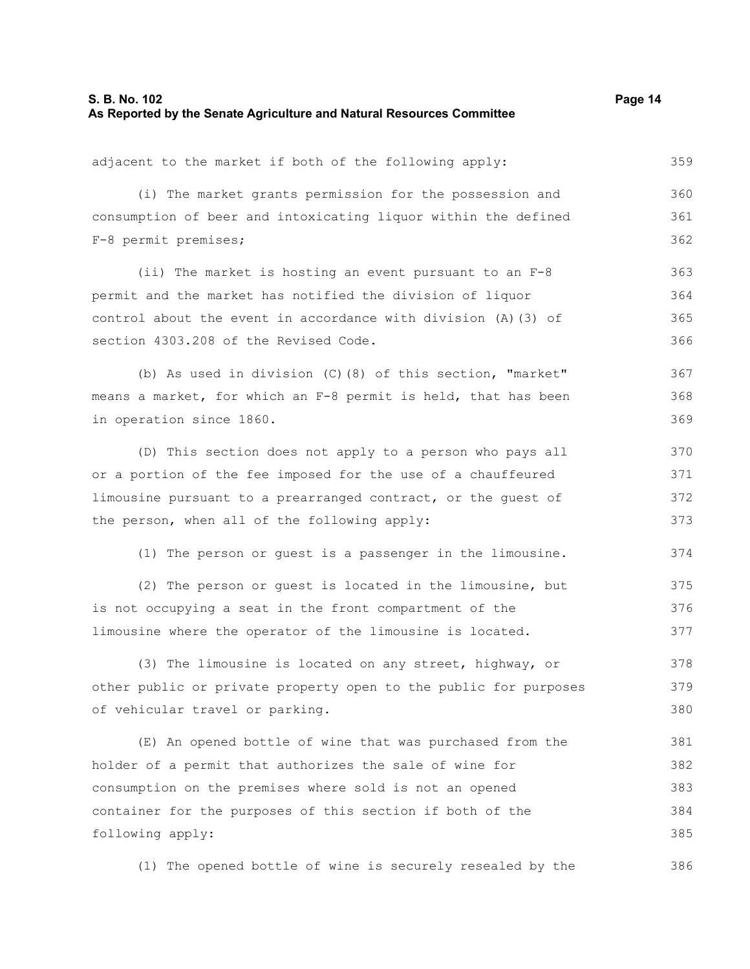| As Reported by the Senate Agriculture and Natural Resources Committee |     |
|-----------------------------------------------------------------------|-----|
| adjacent to the market if both of the following apply:                | 359 |
| (i) The market grants permission for the possession and               | 360 |
| consumption of beer and intoxicating liquor within the defined        | 361 |
| F-8 permit premises;                                                  | 362 |
| (ii) The market is hosting an event pursuant to an F-8                | 363 |
| permit and the market has notified the division of liquor             | 364 |
| control about the event in accordance with division (A) (3) of        | 365 |
| section 4303.208 of the Revised Code.                                 | 366 |
| (b) As used in division (C) (8) of this section, "market"             | 367 |
| means a market, for which an F-8 permit is held, that has been        | 368 |
| in operation since 1860.                                              | 369 |
| (D) This section does not apply to a person who pays all              | 370 |
| or a portion of the fee imposed for the use of a chauffeured          | 371 |
| limousine pursuant to a prearranged contract, or the quest of         | 372 |
| the person, when all of the following apply:                          | 373 |
| (1) The person or guest is a passenger in the limousine.              | 374 |
| (2) The person or guest is located in the limousine, but              | 375 |
| is not occupying a seat in the front compartment of the               | 376 |
| limousine where the operator of the limousine is located.             | 377 |
| (3) The limousine is located on any street, highway, or               | 378 |
| other public or private property open to the public for purposes      | 379 |
| of vehicular travel or parking.                                       | 380 |
| (E) An opened bottle of wine that was purchased from the              | 381 |
| holder of a permit that authorizes the sale of wine for               | 382 |
| consumption on the premises where sold is not an opened               | 383 |
| container for the purposes of this section if both of the             | 384 |
| following apply:                                                      | 385 |

(1) The opened bottle of wine is securely resealed by the 386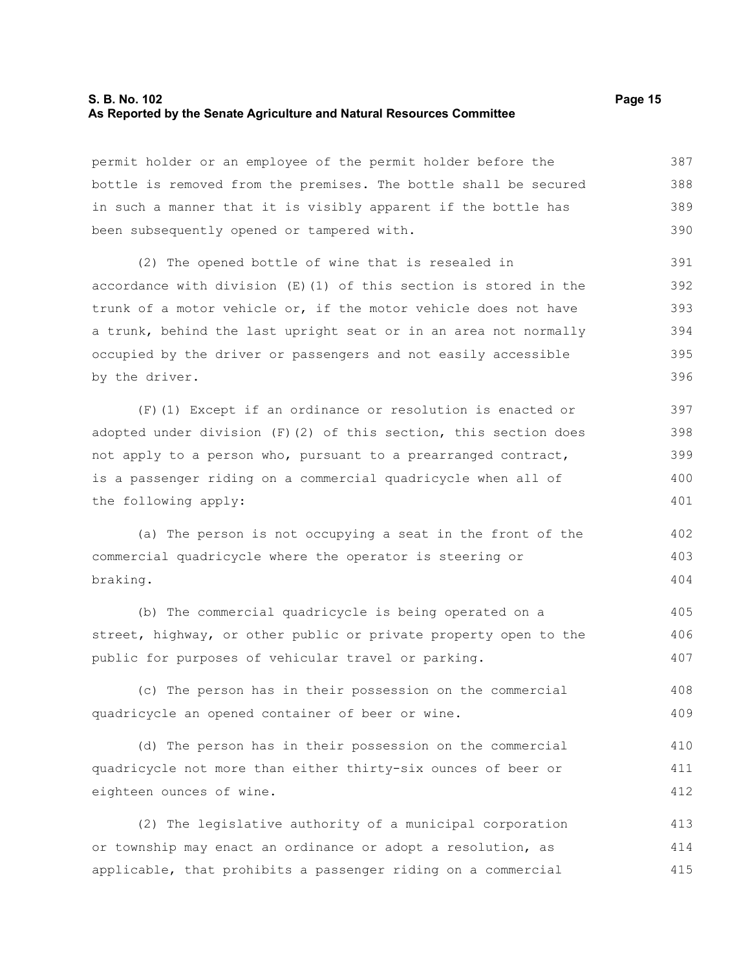#### **S. B. No. 102 Page 15 As Reported by the Senate Agriculture and Natural Resources Committee**

permit holder or an employee of the permit holder before the bottle is removed from the premises. The bottle shall be secured in such a manner that it is visibly apparent if the bottle has been subsequently opened or tampered with. 387 388 389 390

(2) The opened bottle of wine that is resealed in accordance with division (E)(1) of this section is stored in the trunk of a motor vehicle or, if the motor vehicle does not have a trunk, behind the last upright seat or in an area not normally occupied by the driver or passengers and not easily accessible by the driver. 391 392 393 394 395 396

(F)(1) Except if an ordinance or resolution is enacted or adopted under division  $(F)(2)$  of this section, this section does not apply to a person who, pursuant to a prearranged contract, is a passenger riding on a commercial quadricycle when all of the following apply: 397 398 399 400 401

(a) The person is not occupying a seat in the front of the commercial quadricycle where the operator is steering or braking. 402 403 404

(b) The commercial quadricycle is being operated on a street, highway, or other public or private property open to the public for purposes of vehicular travel or parking. 405 406 407

(c) The person has in their possession on the commercial quadricycle an opened container of beer or wine. 408 409

(d) The person has in their possession on the commercial quadricycle not more than either thirty-six ounces of beer or eighteen ounces of wine. 410 411 412

(2) The legislative authority of a municipal corporation or township may enact an ordinance or adopt a resolution, as applicable, that prohibits a passenger riding on a commercial 413 414 415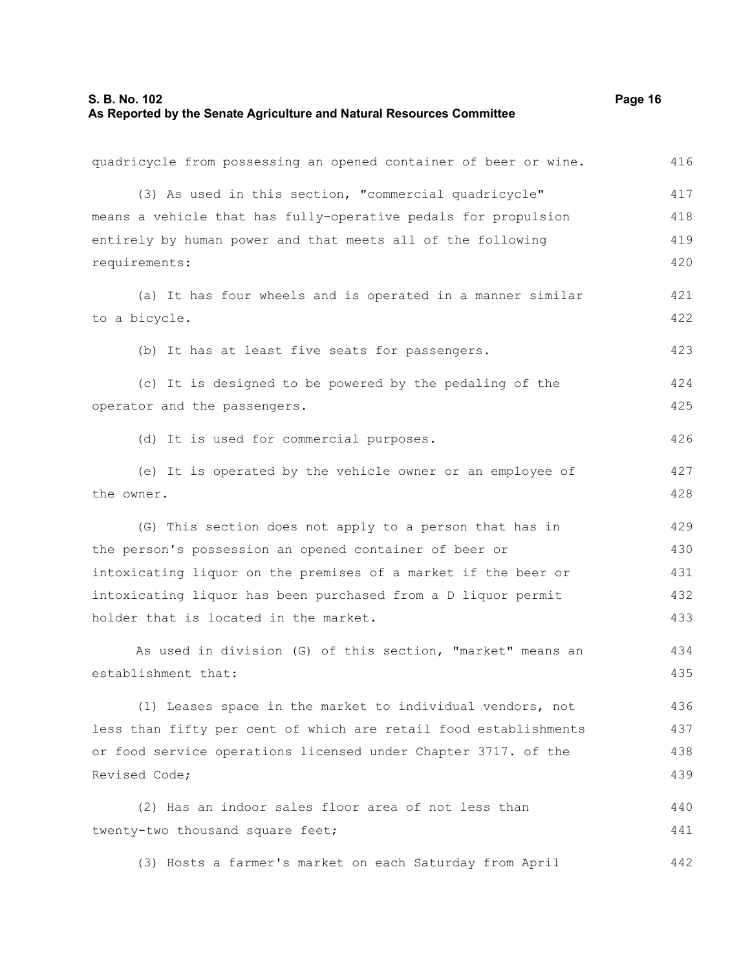quadricycle from possessing an opened container of beer or wine. (3) As used in this section, "commercial quadricycle" means a vehicle that has fully-operative pedals for propulsion entirely by human power and that meets all of the following requirements: (a) It has four wheels and is operated in a manner similar to a bicycle. (b) It has at least five seats for passengers. (c) It is designed to be powered by the pedaling of the operator and the passengers. (d) It is used for commercial purposes. (e) It is operated by the vehicle owner or an employee of the owner. (G) This section does not apply to a person that has in the person's possession an opened container of beer or intoxicating liquor on the premises of a market if the beer or intoxicating liquor has been purchased from a D liquor permit holder that is located in the market. As used in division (G) of this section, "market" means an establishment that: (1) Leases space in the market to individual vendors, not less than fifty per cent of which are retail food establishments or food service operations licensed under Chapter 3717. of the Revised Code; (2) Has an indoor sales floor area of not less than twenty-two thousand square feet; (3) Hosts a farmer's market on each Saturday from April 416 417 418 419 420 421 422 423 424 425 426 427 428 429 430 431 432 433 434 435 436 437 438 439 440 441 442